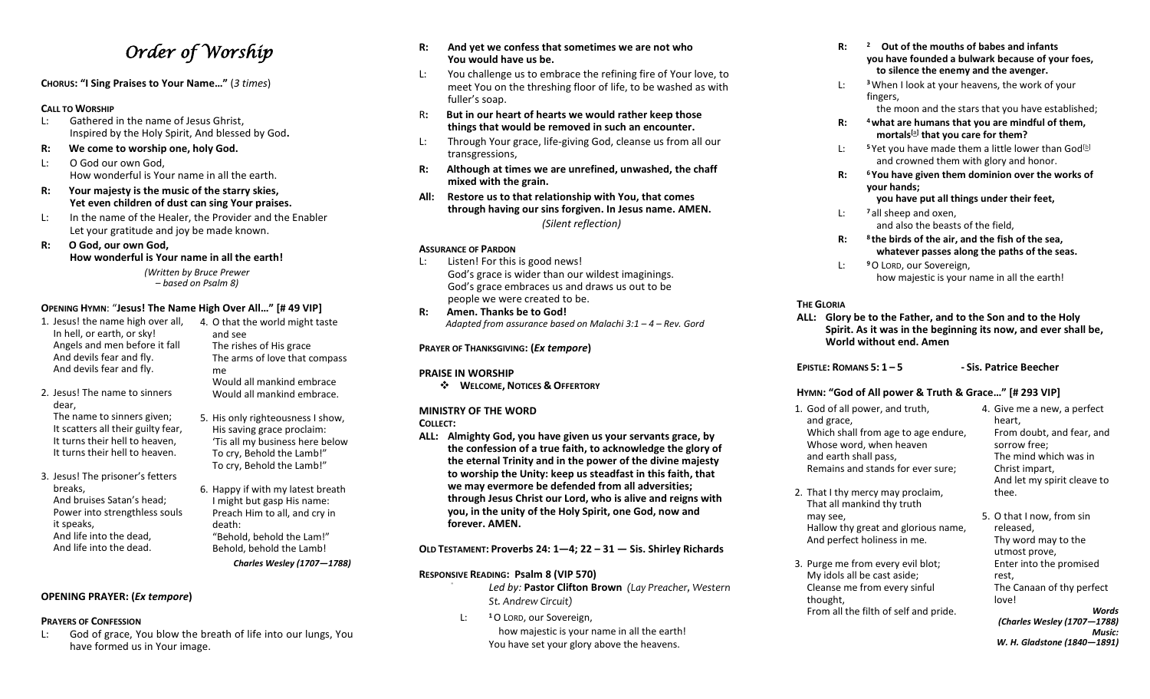# *Order of Worship*

**CHORUS: "I Sing Praises to Your Name…"** (*3 times*)

#### **CALL TO WORSHIP**

- L: Gathered in the name of Jesus Ghrist, Inspired by the Holy Spirit, And blessed by God**.**
- **R: We come to worship one, holy God.**
- L: O God our own God, How wonderful is Your name in all the earth.
- **R: Your majesty is the music of the starry skies, Yet even children of dust can sing Your praises.**
- L: In the name of the Healer, the Provider and the Enabler Let your gratitude and joy be made known.
- **R: O God, our own God, How wonderful is Your name in all the earth!** *(Written by Bruce Prewer*

*– based on Psalm 8)*

# **OPENING HYMN**: "**Jesus! The Name High Over All…" [# 49 VIP]**

- 1. Jesus! the name high over all, In hell, or earth, or sky! Angels and men before it fall And devils fear and fly. And devils fear and fly.
- 2. Jesus! The name to sinners dear,
- The name to sinners given; It scatters all their guilty fear, It turns their hell to heaven, It turns their hell to heaven.
- 3. Jesus! The prisoner's fetters breaks, And bruises Satan's head; Power into strengthless souls it speaks, And life into the dead, And life into the dead.
- 4. O that the world might taste and see The rishes of His grace The arms of love that compass me Would all mankind embrace Would all mankind embrace.
- 5. His only righteousness I show, His saving grace proclaim: 'Tis all my business here below To cry, Behold the Lamb!" To cry, Behold the Lamb!"
- 6. Happy if with my latest breath I might but gasp His name: Preach Him to all, and cry in death: "Behold, behold the Lam!" Behold, behold the Lamb! *Charles Wesley (1707—1788)*

# **OPENING PRAYER: (***Ex tempore***)**

## **PRAYERS OF CONFESSION**

L: God of grace, You blow the breath of life into our lungs, You have formed us in Your image.

- **R: And yet we confess that sometimes we are not who You would have us be.**
- L: You challenge us to embrace the refining fire of Your love, to meet You on the threshing floor of life, to be washed as with fuller's soap.
- R**: But in our heart of hearts we would rather keep those things that would be removed in such an encounter.**
- L: Through Your grace, life-giving God, cleanse us from all our transgressions,
- **R: Although at times we are unrefined, unwashed, the chaff mixed with the grain.**
- **All: Restore us to that relationship with You, that comes through having our sins forgiven. In Jesus name. AMEN.** *(Silent reflection)*

# **ASSURANCE OF PARDON**

- L: Listen! For this is good news! God's grace is wider than our wildest imaginings. God's grace embraces us and draws us out to be people we were created to be.
- **R: Amen. Thanks be to God!** *Adapted from assurance based on Malachi 3:1 – 4 – Rev. Gord*

# **PRAYER OF THANKSGIVING: (***Ex tempore***)**

## **PRAISE IN WORSHIP**

❖ **WELCOME, NOTICES & OFFERTORY**

# **MINISTRY OF THE WORD**

# **COLLECT:**

**ALL: Almighty God, you have given us your servants grace, by the confession of a true faith, to acknowledge the glory of the eternal Trinity and in the power of the divine majesty to worship the Unity: keep us steadfast in this faith, that we may evermore be defended from all adversities; through Jesus Christ our Lord, who is alive and reigns with you, in the unity of the Holy Spirit, one God, now and forever. AMEN.**

**OLD TESTAMENT: Proverbs 24: 1—4; 22 – 31 — Sis. Shirley Richards**

# **RESPONSIVE READING: Psalm 8 (VIP 570)**

*Led by:* **Pastor Clifton Brown** *(Lay Preacher, Western St. Andrew Circuit)*

L: **<sup>1</sup>**O LORD, our Sovereign, how majestic is your name in all the earth! You have set your glory above the heavens.

- **R: <sup>2</sup> Out of the mouths of babes and infants you have founded a bulwark because of your foes, to silence the enemy and the avenger.**
- L: **<sup>3</sup>**When I look at your heavens, the work of your fingers,

the moon and the stars that you have established;

- **R: <sup>4</sup>what are humans that you are mindful of them, mortals[a] that you care for them?**
- L:  $5$  Yet you have made them a little lower than God<sup>[b]</sup> and crowned them with glory and honor.
- **R: <sup>6</sup> You have given them dominion over the works of your hands;**

# **you have put all things under their feet,**

- L: **<sup>7</sup>** all sheep and oxen, and also the beasts of the field,
- **R: <sup>8</sup> the birds of the air, and the fish of the sea, whatever passes along the paths of the seas.**
- L: **<sup>9</sup>**O LORD, our Sovereign, how majestic is your name in all the earth!

### **THE GLORIA**

may see,

thought,

**ALL: Glory be to the Father, and to the Son and to the Holy Spirit. As it was in the beginning its now, and ever shall be, World without end. Amen**

**EPISTLE: ROMANS 5: 1 – 5 - Sis. Patrice Beecher**

# **HYMN: "God of All power & Truth & Grace…" [# 293 VIP]**

1. God of all power, and truth, and grace, Which shall from age to age endure, Whose word, when heaven and earth shall pass, Remains and stands for ever sure;

2. That I thy mercy may proclaim,

From all the filth of self and pride.

- 4. Give me a new, a perfect heart, From doubt, and fear, and sorrow free; The mind which was in Christ impart, And let my spirit cleave to thee.
- That all mankind thy truth Hallow thy great and glorious name, And perfect holiness in me. 3. Purge me from every evil blot; My idols all be cast aside; Cleanse me from every sinful 5. O that I now, from sin released, Thy word may to the utmost prove, Enter into the promised rest, The Canaan of thy perfect love!
	- *Words (Charles Wesley (1707—1788) Music: W. H. Gladstone (1840—1891)*